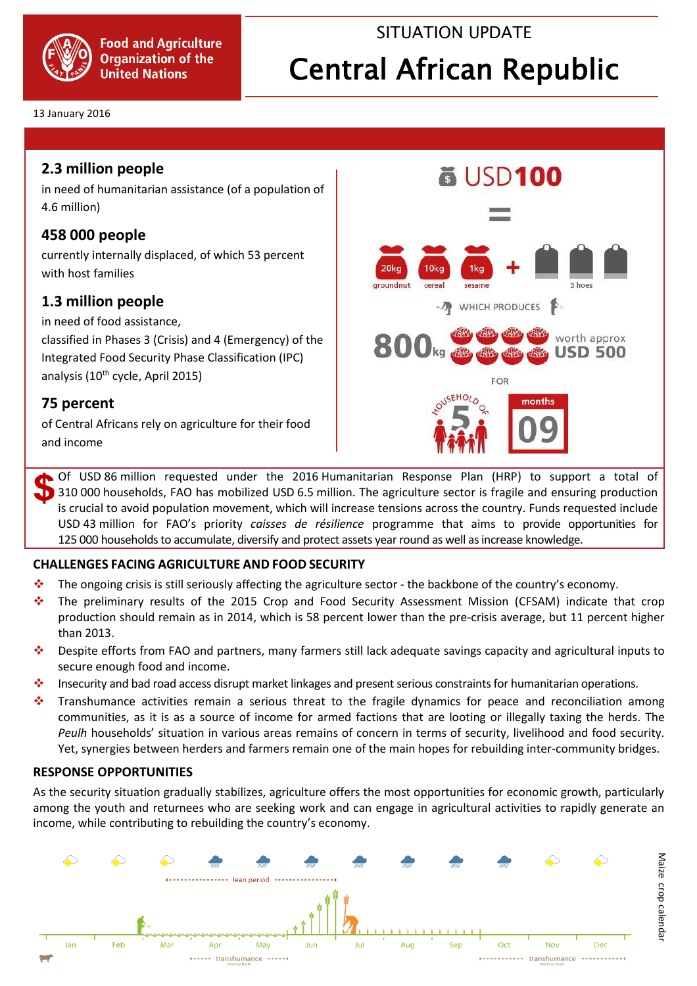

## SITUATION UPDATE

# Central African Republic

#### 13 January 2016

## **2.3 million people**

in need of humanitarian assistance (of a population of 4.6 million)

## **458 000 people**

currently internally displaced, of which 53 percent with host families

## **1.3 million people**

in need of food assistance,

classified in Phases 3 (Crisis) and 4 (Emergency) of the Integrated Food Security Phase Classification (IPC) analysis (10<sup>th</sup> cycle, April 2015)

## **75 percent**

of Central Africans rely on agriculture for their food and income



Of USD 86 million requested under the 2016 Humanitarian Response Plan (HRP) to support a total of 310 000 households, FAO has mobilized USD 6.5 million. The agriculture sector is fragile and ensuring production is crucial to avoid population movement, which will increase tensions across the country. Funds requested include USD 43 million for FAO's priority *caisses de résilience* programme that aims to provide opportunities for 125 000 households to accumulate, diversify and protect assets year round as well as increase knowledge.

### **CHALLENGES FACING AGRICULTURE AND FOOD SECURITY**

- $\bullet$  The ongoing crisis is still seriously affecting the agriculture sector the backbone of the country's economy.
- The preliminary results of the 2015 Crop and Food Security Assessment Mission (CFSAM) indicate that crop production should remain as in 2014, which is 58 percent lower than the pre-crisis average, but 11 percent higher than 2013.
- Despite efforts from FAO and partners, many farmers still lack adequate savings capacity and agricultural inputs to secure enough food and income.
- Insecurity and bad road access disrupt market linkages and present serious constraints for humanitarian operations.
- Transhumance activities remain a serious threat to the fragile dynamics for peace and reconciliation among communities, as it is as a source of income for armed factions that are looting or illegally taxing the herds. The *Peulh* households' situation in various areas remains of concern in terms of security, livelihood and food security. Yet, synergies between herders and farmers remain one of the main hopes for rebuilding inter-community bridges.

### **RESPONSE OPPORTUNITIES**

As the security situation gradually stabilizes, agriculture offers the most opportunities for economic growth, particularly among the youth and returnees who are seeking work and can engage in agricultural activities to rapidly generate an income, while contributing to rebuilding the country's economy.